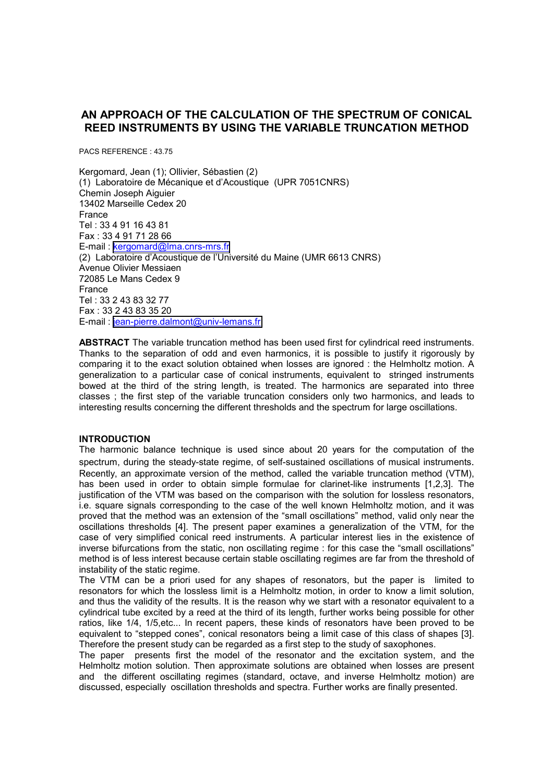# **AN APPROACH OF THE CALCULATION OF THE SPECTRUM OF CONICAL REED INSTRUMENTS BY USING THE VARIABLE TRUNCATION METHOD**

PACS REFERENCE : 43.75

Kergomard, Jean (1); Ollivier, Sébastien (2) (1) Laboratoire de Mécanique et d'Acoustique (UPR 7051CNRS) Chemin Joseph Aiguier 13402 Marseille Cedex 20 France Tel : 33 4 91 16 43 81 Fax : 33 4 91 71 28 66 E-mail : [kergomard@lma.cnrs-mrs.fr](mailto:kergomard@lma.cnrs-mrs.fr) (2) Laboratoire d'Acoustique de l'Université du Maine (UMR 6613 CNRS) Avenue Olivier Messiaen 72085 Le Mans Cedex 9 France Tel : 33 2 43 83 32 77 Fax : 33 2 43 83 35 20 E-mail : [jean-pierre.dalmont@univ-lemans.fr](mailto:jean-pierre.dalmont@univ-lemans.fr)

**ABSTRACT** The variable truncation method has been used first for cylindrical reed instruments. Thanks to the separation of odd and even harmonics, it is possible to justify it rigorously by comparing it to the exact solution obtained when losses are ignored : the Helmholtz motion. A generalization to a particular case of conical instruments, equivalent to stringed instruments bowed at the third of the string length, is treated. The harmonics are separated into three classes ; the first step of the variable truncation considers only two harmonics, and leads to interesting results concerning the different thresholds and the spectrum for large oscillations.

#### **INTRODUCTION**

The harmonic balance technique is used since about 20 years for the computation of the spectrum, during the steady-state regime, of self-sustained oscillations of musical instruments. Recently, an approximate version of the method, called the variable truncation method (VTM), has been used in order to obtain simple formulae for clarinet-like instruments [1,2,3]. The justification of the VTM was based on the comparison with the solution for lossless resonators, i.e. square signals corresponding to the case of the well known Helmholtz motion, and it was proved that the method was an extension of the "small oscillations" method, valid only near the oscillations thresholds [4]. The present paper examines a generalization of the VTM, for the case of very simplified conical reed instruments. A particular interest lies in the existence of inverse bifurcations from the static, non oscillating regime : for this case the "small oscillations" method is of less interest because certain stable oscillating regimes are far from the threshold of instability of the static regime.

The VTM can be a priori used for any shapes of resonators, but the paper is limited to resonators for which the lossless limit is a Helmholtz motion, in order to know a limit solution, and thus the validity of the results. It is the reason why we start with a resonator equivalent to a cylindrical tube excited by a reed at the third of its length, further works being possible for other ratios, like 1/4, 1/5,etc... In recent papers, these kinds of resonators have been proved to be equivalent to "stepped cones", conical resonators being a limit case of this class of shapes [3]. Therefore the present study can be regarded as a first step to the study of saxophones.

The paper presents first the model of the resonator and the excitation system, and the Helmholtz motion solution. Then approximate solutions are obtained when losses are present and the different oscillating regimes (standard, octave, and inverse Helmholtz motion) are discussed, especially oscillation thresholds and spectra. Further works are finally presented.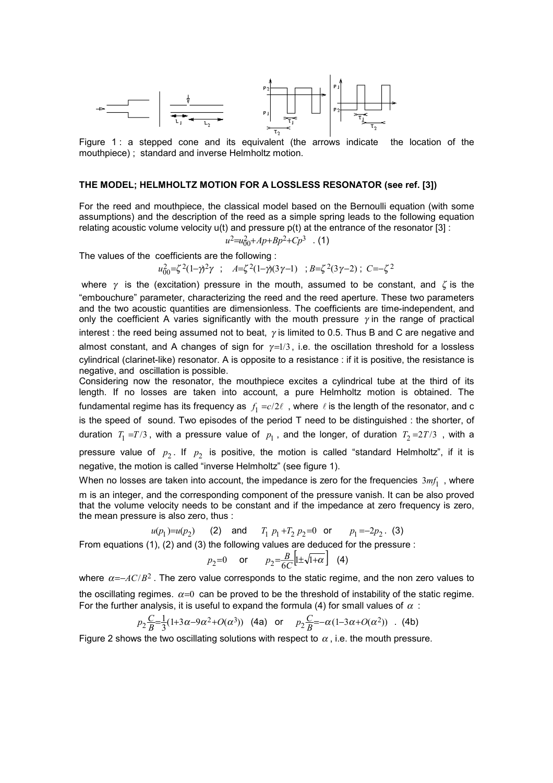

Figure 1 : a stepped cone and its equivalent (the arrows indicate the location of the mouthpiece) ; standard and inverse Helmholtz motion.

### **THE MODEL; HELMHOLTZ MOTION FOR A LOSSLESS RESONATOR (see ref. [3])**

For the reed and mouthpiece, the classical model based on the Bernoulli equation (with some assumptions) and the description of the reed as a simple spring leads to the following equation relating acoustic volume velocity  $u(t)$  and pressure  $p(t)$  at the entrance of the resonator [3] :

$$
u^2 = u_{00}^2 + Ap + Bp^2 + Cp^3 \quad .
$$
 (1)

The values of the coefficients are the following :

$$
u_{00}^2 = \zeta^2 (1 - \gamma)^2 \gamma \quad ; \quad A = \zeta^2 (1 - \gamma)(3\gamma - 1) \quad ; \ B = \zeta^2 (3\gamma - 2) \quad ; \ C = -\zeta^2
$$

where  $\gamma$  is the (excitation) pressure in the mouth, assumed to be constant, and  $\zeta$  is the "embouchure" parameter, characterizing the reed and the reed aperture. These two parameters and the two acoustic quantities are dimensionless. The coefficients are time-independent, and only the coefficient A varies significantly with the mouth pressure  $\gamma$  in the range of practical interest : the reed being assumed not to beat,  $\gamma$  is limited to 0.5. Thus B and C are negative and almost constant, and A changes of sign for  $\gamma=1/3$ , i.e. the oscillation threshold for a lossless cylindrical (clarinet-like) resonator. A is opposite to a resistance : if it is positive, the resistance is negative, and oscillation is possible.

Considering now the resonator, the mouthpiece excites a cylindrical tube at the third of its length. If no losses are taken into account, a pure Helmholtz motion is obtained. The fundamental regime has its frequency as  $\,f_{1} = c/2\ell\,$  , where  $\,\ell$  is the length of the resonator, and c is the speed of sound. Two episodes of the period T need to be distinguished : the shorter, of duration  $T_1 = T/3$ , with a pressure value of  $p_1$ , and the longer, of duration  $T_2 = 2T/3$ , with a pressure value of  $p_2$ . If  $p_2$  is positive, the motion is called "standard Helmholtz", if it is negative, the motion is called "inverse Helmholtz" (see figure 1).

When no losses are taken into account, the impedance is zero for the frequencies  $3 m f_1$ , where m is an integer, and the corresponding component of the pressure vanish. It can be also proved that the volume velocity needs to be constant and if the impedance at zero frequency is zero, the mean pressure is also zero, thus :

$$
u(p_1)=u(p_2)
$$
 (2) and  $T_1 p_1+T_2 p_2=0$  or  $p_1=-2p_2$ . (3)  
From equations (1), (2) and (3) the following values are deduced for the pressure :

$$
p_2=0
$$
 or  $p_2=\frac{B}{6C}\left[\pm\sqrt{1+\alpha}\right]$  (4)

where  $\alpha = -AC/B^2$ . The zero value corresponds to the static regime, and the non zero values to the oscillating regimes.  $\alpha=0$  can be proved to be the threshold of instability of the static regime. For the further analysis, it is useful to expand the formula (4) for small values of  $\alpha$ :

$$
p_2 \frac{C}{B} = \frac{1}{3}(1+3\alpha-9\alpha^2+O(\alpha^3))
$$
 (4a) or  $p_2 \frac{C}{B} = -\alpha(1-3\alpha+O(\alpha^2))$ . (4b)

Figure 2 shows the two oscillating solutions with respect to  $\alpha$ , i.e. the mouth pressure.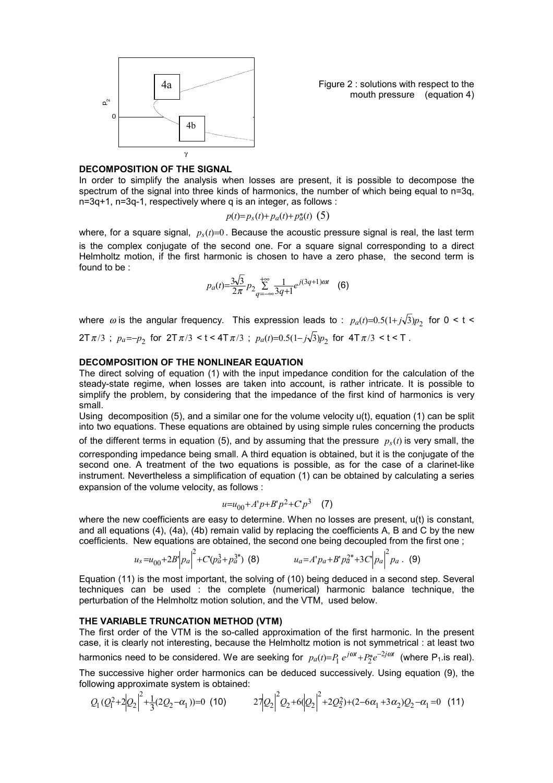

Figure 2 : solutions with respect to the mouth pressure (equation 4)

## **DECOMPOSITION OF THE SIGNAL**

In order to simplify the analysis when losses are present, it is possible to decompose the spectrum of the signal into three kinds of harmonics, the number of which being equal to n=3q, n=3q+1, n=3q-1, respectively where q is an integer, as follows :

$$
p(t)=p_s(t)+p_a(t)+p_a^*(t)
$$
 (5)

where, for a square signal,  $p<sub>s</sub>(t)=0$ . Because the acoustic pressure signal is real, the last term is the complex conjugate of the second one. For a square signal corresponding to a direct Helmholtz motion, if the first harmonic is chosen to have a zero phase, the second term is found to be :

$$
p_a(t) = \frac{3\sqrt{3}}{2\pi} p_2 \sum_{q=-\infty}^{+\infty} \frac{1}{3q+1} e^{j(3q+1)\omega t} \quad (6)
$$

where  $\omega$  is the angular frequency. This expression leads to :  $p_a(t)=0.5(1+j\sqrt{3})p_2$  for  $0 < t <$  $2T \pi/3$ ;  $p_a = -p_2$  for  $2T \pi/3 < t < 4T \pi/3$ ;  $p_a(t) = 0.5(1 - j\sqrt{3})p_2$  for  $4T \pi/3 < t < T$ .

### **DECOMPOSITION OF THE NONLINEAR EQUATION**

The direct solving of equation (1) with the input impedance condition for the calculation of the steady-state regime, when losses are taken into account, is rather intricate. It is possible to simplify the problem, by considering that the impedance of the first kind of harmonics is very small.

Using decomposition (5), and a similar one for the volume velocity u(t), equation (1) can be split into two equations. These equations are obtained by using simple rules concerning the products of the different terms in equation (5), and by assuming that the pressure  $p<sub>s</sub>(t)$  is very small, the corresponding impedance being small. A third equation is obtained, but it is the conjugate of the second one. A treatment of the two equations is possible, as for the case of a clarinet-like instrument. Nevertheless a simplification of equation (1) can be obtained by calculating a series expansion of the volume velocity, as follows :

$$
u = u_{00} + A'p + B'p^2 + Cp^3 \quad (7)
$$

where the new coefficients are easy to determine. When no losses are present,  $u(t)$  is constant, and all equations (4), (4a), (4b) remain valid by replacing the coefficients A, B and C by the new coefficients. New equations are obtained, the second one being decoupled from the first one ;

$$
u_s = u_{00} + 2B' \left| p_a \right|^2 + C' (p_a^3 + p_a^{3*}) \tag{8}
$$
\n
$$
u_a = A' p_a + B' p_a^{2*} + 3C \left| p_a \right|^2 p_a \tag{9}
$$

Equation (11) is the most important, the solving of (10) being deduced in a second step. Several techniques can be used : the complete (numerical) harmonic balance technique, the perturbation of the Helmholtz motion solution, and the VTM, used below.

### **THE VARIABLE TRUNCATION METHOD (VTM)**

The first order of the VTM is the so-called approximation of the first harmonic. In the present case, it is clearly not interesting, because the Helmholtz motion is not symmetrical : at least two harmonics need to be considered. We are seeking for  $p_a(t)=P_1 e^{j\omega t}+P_2^*e^{-2j\omega t}$  (where P<sub>1</sub>.is real).

The successive higher order harmonics can be deduced successively. Using equation (9), the following approximate system is obtained:

$$
Q_1 (Q_1^2 + 2|Q_2|^2 + \frac{1}{3}(2Q_2 - \alpha_1)) = 0
$$
 (10)  $27|Q_2|^2 Q_2 + 6|Q_2|^2 + 2Q_2^2 + (2 - 6\alpha_1 + 3\alpha_2)Q_2 - \alpha_1 = 0$  (11)